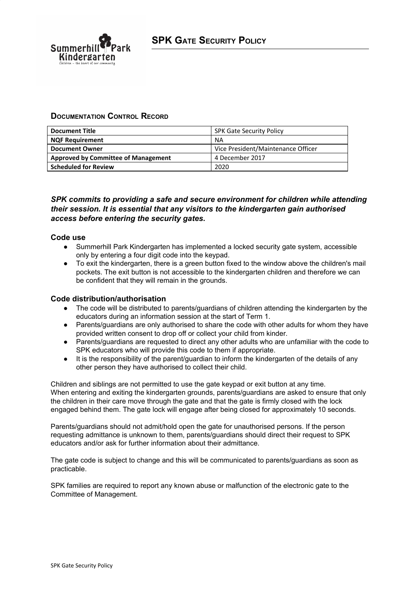

# **DOCUMENTATION CONTROL RECORD**

| <b>Document Title</b>                      | <b>SPK Gate Security Policy</b>    |
|--------------------------------------------|------------------------------------|
| <b>NQF Requirement</b>                     | <b>NA</b>                          |
| <b>Document Owner</b>                      | Vice President/Maintenance Officer |
| <b>Approved by Committee of Management</b> | 4 December 2017                    |
| <b>Scheduled for Review</b>                | 2020                               |

# *SPK commits to providing a safe and secure environment for children while attending their session. It is essential that any visitors to the kindergarten gain authorised access before entering the security gates.*

#### **Code use**

- Summerhill Park Kindergarten has implemented a locked security gate system, accessible only by entering a four digit code into the keypad.
- To exit the kindergarten, there is a green button fixed to the window above the children's mail pockets. The exit button is not accessible to the kindergarten children and therefore we can be confident that they will remain in the grounds.

#### **Code distribution/authorisation**

- The code will be distributed to parents/guardians of children attending the kindergarten by the educators during an information session at the start of Term 1.
- Parents/guardians are only authorised to share the code with other adults for whom they have provided written consent to drop off or collect your child from kinder.
- Parents/guardians are requested to direct any other adults who are unfamiliar with the code to SPK educators who will provide this code to them if appropriate.
- It is the responsibility of the parent/guardian to inform the kindergarten of the details of any other person they have authorised to collect their child.

Children and siblings are not permitted to use the gate keypad or exit button at any time. When entering and exiting the kindergarten grounds, parents/guardians are asked to ensure that only the children in their care move through the gate and that the gate is firmly closed with the lock engaged behind them. The gate lock will engage after being closed for approximately 10 seconds.

Parents/guardians should not admit/hold open the gate for unauthorised persons. If the person requesting admittance is unknown to them, parents/guardians should direct their request to SPK educators and/or ask for further information about their admittance.

The gate code is subject to change and this will be communicated to parents/guardians as soon as practicable.

SPK families are required to report any known abuse or malfunction of the electronic gate to the Committee of Management.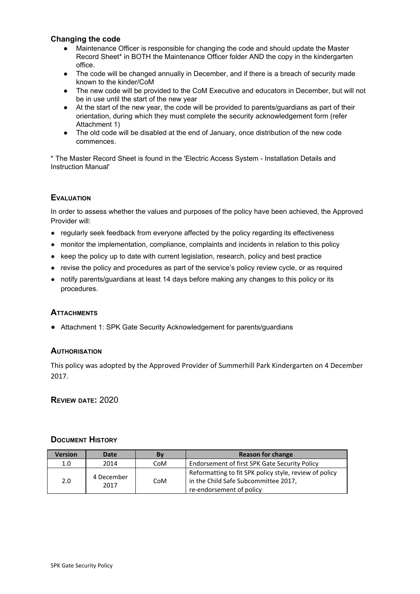### **Changing the code**

- Maintenance Officer is responsible for changing the code and should update the Master Record Sheet\* in BOTH the Maintenance Officer folder AND the copy in the kindergarten office.
- The code will be changed annually in December, and if there is a breach of security made known to the kinder/CoM
- The new code will be provided to the CoM Executive and educators in December, but will not be in use until the start of the new year
- At the start of the new year, the code will be provided to parents/guardians as part of their orientation, during which they must complete the security acknowledgement form (refer Attachment 1)
- The old code will be disabled at the end of January, once distribution of the new code commences.

\* The Master Record Sheet is found in the 'Electric Access System - Installation Details and Instruction Manual'

#### **EVALUATION**

In order to assess whether the values and purposes of the policy have been achieved, the Approved Provider will:

- regularly seek feedback from everyone affected by the policy regarding its effectiveness
- monitor the implementation, compliance, complaints and incidents in relation to this policy
- keep the policy up to date with current legislation, research, policy and best practice
- revise the policy and procedures as part of the service's policy review cycle, or as required
- **●** notify parents/guardians at least 14 days before making any changes to this policy or its procedures.

#### **ATTACHMENTS**

● Attachment 1: SPK Gate Security Acknowledgement for parents/guardians

#### **AUTHORISATION**

This policy was adopted by the Approved Provider of Summerhill Park Kindergarten on 4 December 2017.

**REVIEW DATE:** 2020

#### **DOCUMENT HISTORY**

| <b>Version</b> | Date               | Bv  | <b>Reason for change</b>                                                                                                   |
|----------------|--------------------|-----|----------------------------------------------------------------------------------------------------------------------------|
| 1.0            | 2014               | CoM | Endorsement of first SPK Gate Security Policy                                                                              |
| 2.0            | 4 December<br>2017 | CoM | Reformatting to fit SPK policy style, review of policy<br>in the Child Safe Subcommittee 2017,<br>re-endorsement of policy |